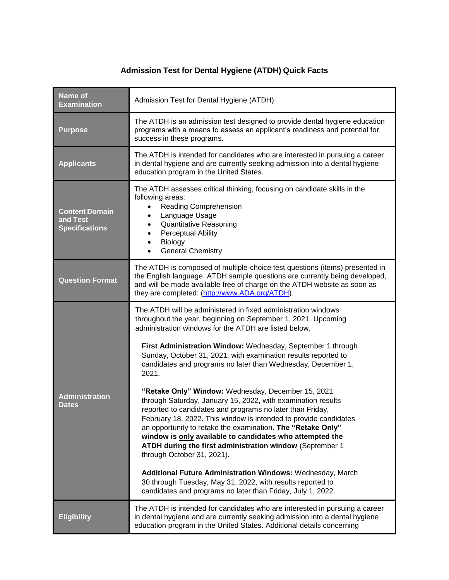## **Admission Test for Dental Hygiene (ATDH) Quick Facts**

| <b>Name of</b><br><b>Examination</b>                       | Admission Test for Dental Hygiene (ATDH)                                                                                                                                                                                                                                                                                                                                                                                                                                                                                                                                                                                                                                                                                                                                                                                                                                                                                                                                                                                                                                        |  |
|------------------------------------------------------------|---------------------------------------------------------------------------------------------------------------------------------------------------------------------------------------------------------------------------------------------------------------------------------------------------------------------------------------------------------------------------------------------------------------------------------------------------------------------------------------------------------------------------------------------------------------------------------------------------------------------------------------------------------------------------------------------------------------------------------------------------------------------------------------------------------------------------------------------------------------------------------------------------------------------------------------------------------------------------------------------------------------------------------------------------------------------------------|--|
| <b>Purpose</b>                                             | The ATDH is an admission test designed to provide dental hygiene education<br>programs with a means to assess an applicant's readiness and potential for<br>success in these programs.                                                                                                                                                                                                                                                                                                                                                                                                                                                                                                                                                                                                                                                                                                                                                                                                                                                                                          |  |
| <b>Applicants</b>                                          | The ATDH is intended for candidates who are interested in pursuing a career<br>in dental hygiene and are currently seeking admission into a dental hygiene<br>education program in the United States.                                                                                                                                                                                                                                                                                                                                                                                                                                                                                                                                                                                                                                                                                                                                                                                                                                                                           |  |
| <b>Content Domain</b><br>and Test<br><b>Specifications</b> | The ATDH assesses critical thinking, focusing on candidate skills in the<br>following areas:<br>Reading Comprehension<br>Language Usage<br><b>Quantitative Reasoning</b><br><b>Perceptual Ability</b><br>Biology<br><b>General Chemistry</b>                                                                                                                                                                                                                                                                                                                                                                                                                                                                                                                                                                                                                                                                                                                                                                                                                                    |  |
| <b>Question Format</b>                                     | The ATDH is composed of multiple-choice test questions (items) presented in<br>the English language. ATDH sample questions are currently being developed,<br>and will be made available free of charge on the ATDH website as soon as<br>they are completed: (http://www.ADA.org/ATDH).                                                                                                                                                                                                                                                                                                                                                                                                                                                                                                                                                                                                                                                                                                                                                                                         |  |
| <b>Administration</b><br><b>Dates</b>                      | The ATDH will be administered in fixed administration windows<br>throughout the year, beginning on September 1, 2021. Upcoming<br>administration windows for the ATDH are listed below.<br>First Administration Window: Wednesday, September 1 through<br>Sunday, October 31, 2021, with examination results reported to<br>candidates and programs no later than Wednesday, December 1,<br>2021.<br>"Retake Only" Window: Wednesday, December 15, 2021<br>through Saturday, January 15, 2022, with examination results<br>reported to candidates and programs no later than Friday,<br>February 18, 2022. This window is intended to provide candidates<br>an opportunity to retake the examination. The "Retake Only"<br>window is only available to candidates who attempted the<br>ATDH during the first administration window (September 1<br>through October 31, 2021).<br><b>Additional Future Administration Windows: Wednesday, March</b><br>30 through Tuesday, May 31, 2022, with results reported to<br>candidates and programs no later than Friday, July 1, 2022. |  |
| <b>Eligibility</b>                                         | The ATDH is intended for candidates who are interested in pursuing a career<br>in dental hygiene and are currently seeking admission into a dental hygiene<br>education program in the United States. Additional details concerning                                                                                                                                                                                                                                                                                                                                                                                                                                                                                                                                                                                                                                                                                                                                                                                                                                             |  |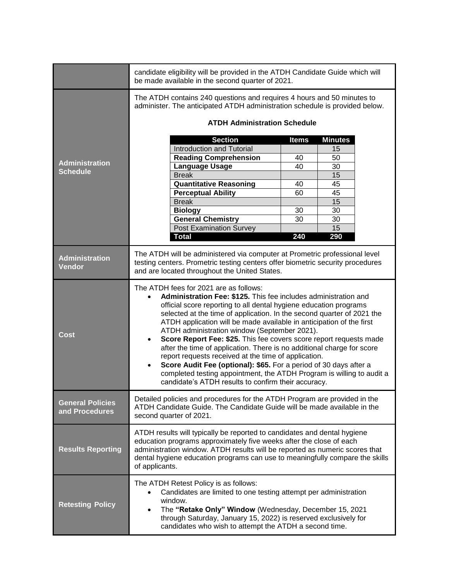|                                           | candidate eligibility will be provided in the ATDH Candidate Guide which will<br>be made available in the second quarter of 2021.                                                                                                                                                                                                                                                                                                                                                                                                                                                                                                                                                                                                                                                                          |              |                |  |  |
|-------------------------------------------|------------------------------------------------------------------------------------------------------------------------------------------------------------------------------------------------------------------------------------------------------------------------------------------------------------------------------------------------------------------------------------------------------------------------------------------------------------------------------------------------------------------------------------------------------------------------------------------------------------------------------------------------------------------------------------------------------------------------------------------------------------------------------------------------------------|--------------|----------------|--|--|
|                                           | The ATDH contains 240 questions and requires 4 hours and 50 minutes to<br>administer. The anticipated ATDH administration schedule is provided below.                                                                                                                                                                                                                                                                                                                                                                                                                                                                                                                                                                                                                                                      |              |                |  |  |
|                                           | <b>ATDH Administration Schedule</b>                                                                                                                                                                                                                                                                                                                                                                                                                                                                                                                                                                                                                                                                                                                                                                        |              |                |  |  |
|                                           | <b>Section</b>                                                                                                                                                                                                                                                                                                                                                                                                                                                                                                                                                                                                                                                                                                                                                                                             | <b>Items</b> | <b>Minutes</b> |  |  |
|                                           | <b>Introduction and Tutorial</b>                                                                                                                                                                                                                                                                                                                                                                                                                                                                                                                                                                                                                                                                                                                                                                           |              | 15             |  |  |
|                                           | <b>Reading Comprehension</b>                                                                                                                                                                                                                                                                                                                                                                                                                                                                                                                                                                                                                                                                                                                                                                               | 40           | 50             |  |  |
| <b>Administration</b>                     | <b>Language Usage</b>                                                                                                                                                                                                                                                                                                                                                                                                                                                                                                                                                                                                                                                                                                                                                                                      | 40           | 30             |  |  |
| <b>Schedule</b>                           | <b>Break</b>                                                                                                                                                                                                                                                                                                                                                                                                                                                                                                                                                                                                                                                                                                                                                                                               |              | 15             |  |  |
|                                           | <b>Quantitative Reasoning</b>                                                                                                                                                                                                                                                                                                                                                                                                                                                                                                                                                                                                                                                                                                                                                                              | 40           | 45             |  |  |
|                                           | <b>Perceptual Ability</b>                                                                                                                                                                                                                                                                                                                                                                                                                                                                                                                                                                                                                                                                                                                                                                                  | 60           | 45             |  |  |
|                                           | <b>Break</b>                                                                                                                                                                                                                                                                                                                                                                                                                                                                                                                                                                                                                                                                                                                                                                                               |              | 15             |  |  |
|                                           | <b>Biology</b>                                                                                                                                                                                                                                                                                                                                                                                                                                                                                                                                                                                                                                                                                                                                                                                             | 30           | 30             |  |  |
|                                           | <b>General Chemistry</b>                                                                                                                                                                                                                                                                                                                                                                                                                                                                                                                                                                                                                                                                                                                                                                                   | 30           | 30             |  |  |
|                                           | <b>Post Examination Survey</b>                                                                                                                                                                                                                                                                                                                                                                                                                                                                                                                                                                                                                                                                                                                                                                             |              | 15             |  |  |
|                                           | <b>Total</b>                                                                                                                                                                                                                                                                                                                                                                                                                                                                                                                                                                                                                                                                                                                                                                                               | 240          | 290            |  |  |
| <b>Administration</b><br><b>Vendor</b>    | The ATDH will be administered via computer at Prometric professional level<br>testing centers. Prometric testing centers offer biometric security procedures<br>and are located throughout the United States.                                                                                                                                                                                                                                                                                                                                                                                                                                                                                                                                                                                              |              |                |  |  |
| <b>Cost</b>                               | The ATDH fees for 2021 are as follows:<br>Administration Fee: \$125. This fee includes administration and<br>$\bullet$<br>official score reporting to all dental hygiene education programs<br>selected at the time of application. In the second quarter of 2021 the<br>ATDH application will be made available in anticipation of the first<br>ATDH administration window (September 2021).<br>Score Report Fee: \$25. This fee covers score report requests made<br>after the time of application. There is no additional charge for score<br>report requests received at the time of application.<br>Score Audit Fee (optional): \$65. For a period of 30 days after a<br>completed testing appointment, the ATDH Program is willing to audit a<br>candidate's ATDH results to confirm their accuracy. |              |                |  |  |
| <b>General Policies</b><br>and Procedures | Detailed policies and procedures for the ATDH Program are provided in the<br>ATDH Candidate Guide. The Candidate Guide will be made available in the<br>second quarter of 2021.                                                                                                                                                                                                                                                                                                                                                                                                                                                                                                                                                                                                                            |              |                |  |  |
| <b>Results Reporting</b>                  | ATDH results will typically be reported to candidates and dental hygiene<br>education programs approximately five weeks after the close of each<br>administration window. ATDH results will be reported as numeric scores that<br>dental hygiene education programs can use to meaningfully compare the skills<br>of applicants.                                                                                                                                                                                                                                                                                                                                                                                                                                                                           |              |                |  |  |
| <b>Retesting Policy</b>                   | The ATDH Retest Policy is as follows:<br>Candidates are limited to one testing attempt per administration<br>window.<br>The "Retake Only" Window (Wednesday, December 15, 2021<br>$\bullet$<br>through Saturday, January 15, 2022) is reserved exclusively for<br>candidates who wish to attempt the ATDH a second time.                                                                                                                                                                                                                                                                                                                                                                                                                                                                                   |              |                |  |  |